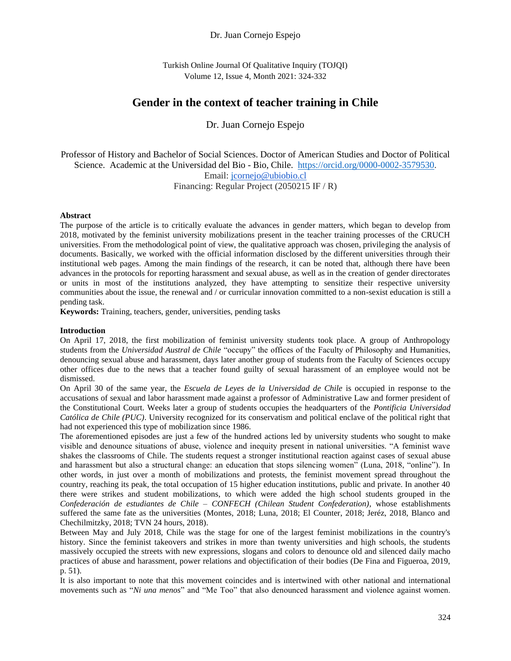## Dr. Juan Cornejo Espejo

Turkish Online Journal Of Qualitative Inquiry (TOJQI) Volume 12, Issue 4, Month 2021: 324-332

# **Gender in the context of teacher training in Chile**

Dr. Juan Cornejo Espejo

Professor of History and Bachelor of Social Sciences. Doctor of American Studies and Doctor of Political Science. Academic at the Universidad del Bio - Bio, Chile. [https://orcid.org/0000-0002-3579530.](https://orcid.org/0000-0002-3579530) Email: [j](mailto:juancornejoespejo@gmail.com)[cornejo@ubiobio.cl](mailto:cornejo@ubiobio.cl)

Financing: Regular Project (2050215 IF / R)

#### **Abstract**

The purpose of the article is to critically evaluate the advances in gender matters, which began to develop from 2018, motivated by the feminist university mobilizations present in the teacher training processes of the CRUCH universities. From the methodological point of view, the qualitative approach was chosen, privileging the analysis of documents. Basically, we worked with the official information disclosed by the different universities through their institutional web pages. Among the main findings of the research, it can be noted that, although there have been advances in the protocols for reporting harassment and sexual abuse, as well as in the creation of gender directorates or units in most of the institutions analyzed, they have attempting to sensitize their respective university communities about the issue, the renewal and / or curricular innovation committed to a non-sexist education is still a pending task.

**Keywords:** Training, teachers, gender, universities, pending tasks

#### **Introduction**

On April 17, 2018, the first mobilization of feminist university students took place. A group of Anthropology students from the *Universidad Austral de Chile* "occupy" the offices of the Faculty of Philosophy and Humanities, denouncing sexual abuse and harassment, days later another group of students from the Faculty of Sciences occupy other offices due to the news that a teacher found guilty of sexual harassment of an employee would not be dismissed.

On April 30 of the same year, the *Escuela de Leyes de la Universidad de Chile* is occupied in response to the accusations of sexual and labor harassment made against a professor of Administrative Law and former president of the Constitutional Court. Weeks later a group of students occupies the headquarters of the *Pontificia Universidad Católica de Chile (PUC)*. University recognized for its conservatism and political enclave of the political right that had not experienced this type of mobilization since 1986.

The aforementioned episodes are just a few of the hundred actions led by university students who sought to make visible and denounce situations of abuse, violence and inequity present in national universities. "A feminist wave shakes the classrooms of Chile. The students request a stronger institutional reaction against cases of sexual abuse and harassment but also a structural change: an education that stops silencing women" (Luna, 2018, "online"). In other words, in just over a month of mobilizations and protests, the feminist movement spread throughout the country, reaching its peak, the total occupation of 15 higher education institutions, public and private. In another 40 there were strikes and student mobilizations, to which were added the high school students grouped in the *Confederación de estudiantes de Chile – CONFECH (Chilean Student Confederation)*, whose establishments suffered the same fate as the universities (Montes, 2018; Luna, 2018; El Counter, 2018; Jeréz, 2018, Blanco and Chechilmitzky, 2018; TVN 24 hours, 2018).

Between May and July 2018, Chile was the stage for one of the largest feminist mobilizations in the country's history. Since the feminist takeovers and strikes in more than twenty universities and high schools, the students massively occupied the streets with new expressions, slogans and colors to denounce old and silenced daily macho practices of abuse and harassment, power relations and objectification of their bodies (De Fina and Figueroa, 2019, p. 51).

It is also important to note that this movement coincides and is intertwined with other national and international movements such as "*Ni una menos*" and "Me Too" that also denounced harassment and violence against women.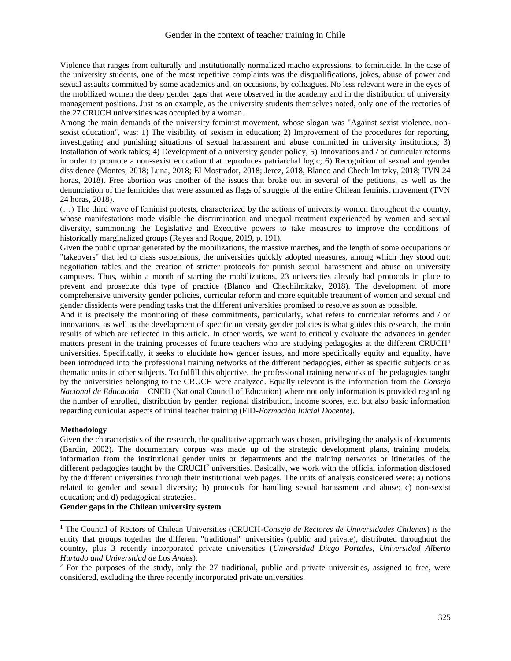Violence that ranges from culturally and institutionally normalized macho expressions, to feminicide. In the case of the university students, one of the most repetitive complaints was the disqualifications, jokes, abuse of power and sexual assaults committed by some academics and, on occasions, by colleagues. No less relevant were in the eyes of the mobilized women the deep gender gaps that were observed in the academy and in the distribution of university management positions. Just as an example, as the university students themselves noted, only one of the rectories of the 27 CRUCH universities was occupied by a woman.

Among the main demands of the university feminist movement, whose slogan was "Against sexist violence, nonsexist education", was: 1) The visibility of sexism in education; 2) Improvement of the procedures for reporting, investigating and punishing situations of sexual harassment and abuse committed in university institutions; 3) Installation of work tables; 4) Development of a university gender policy; 5) Innovations and / or curricular reforms in order to promote a non-sexist education that reproduces patriarchal logic; 6) Recognition of sexual and gender dissidence (Montes, 2018; Luna, 2018; El Mostrador, 2018; Jerez, 2018, Blanco and Chechilmitzky, 2018; TVN 24 horas, 2018). Free abortion was another of the issues that broke out in several of the petitions, as well as the denunciation of the femicides that were assumed as flags of struggle of the entire Chilean feminist movement (TVN 24 horas, 2018).

(…) The third wave of feminist protests, characterized by the actions of university women throughout the country, whose manifestations made visible the discrimination and unequal treatment experienced by women and sexual diversity, summoning the Legislative and Executive powers to take measures to improve the conditions of historically marginalized groups (Reyes and Roque, 2019, p. 191).

Given the public uproar generated by the mobilizations, the massive marches, and the length of some occupations or "takeovers" that led to class suspensions, the universities quickly adopted measures, among which they stood out: negotiation tables and the creation of stricter protocols for punish sexual harassment and abuse on university campuses. Thus, within a month of starting the mobilizations, 23 universities already had protocols in place to prevent and prosecute this type of practice (Blanco and Chechilmitzky, 2018). The development of more comprehensive university gender policies, curricular reform and more equitable treatment of women and sexual and gender dissidents were pending tasks that the different universities promised to resolve as soon as possible.

And it is precisely the monitoring of these commitments, particularly, what refers to curricular reforms and / or innovations, as well as the development of specific university gender policies is what guides this research, the main results of which are reflected in this article. In other words, we want to critically evaluate the advances in gender matters present in the training processes of future teachers who are studying pedagogies at the different  $CRUCH<sup>1</sup>$ universities. Specifically, it seeks to elucidate how gender issues, and more specifically equity and equality, have been introduced into the professional training networks of the different pedagogies, either as specific subjects or as thematic units in other subjects. To fulfill this objective, the professional training networks of the pedagogies taught by the universities belonging to the CRUCH were analyzed. Equally relevant is the information from the *Consejo Nacional de Educación* – CNED (National Council of Education) where not only information is provided regarding the number of enrolled, distribution by gender, regional distribution, income scores, etc. but also basic information regarding curricular aspects of initial teacher training (FID-*Formación Inicial Docente*).

#### **Methodology**

Given the characteristics of the research, the qualitative approach was chosen, privileging the analysis of documents (Bardín, 2002). The documentary corpus was made up of the strategic development plans, training models, information from the institutional gender units or departments and the training networks or itineraries of the different pedagogies taught by the CRUCH<sup>2</sup> universities. Basically, we work with the official information disclosed by the different universities through their institutional web pages. The units of analysis considered were: a) notions related to gender and sexual diversity; b) protocols for handling sexual harassment and abuse; c) non-sexist education; and d) pedagogical strategies.

## **Gender gaps in the Chilean university system**

<sup>1</sup> The Council of Rectors of Chilean Universities (CRUCH-*Consejo de Rectores de Universidades Chilenas*) is the entity that groups together the different "traditional" universities (public and private), distributed throughout the country, plus 3 recently incorporated private universities (*Universidad Diego Portales, Universidad Alberto Hurtado and Universidad de Los Andes*).

<sup>&</sup>lt;sup>2</sup> For the purposes of the study, only the 27 traditional, public and private universities, assigned to free, were considered, excluding the three recently incorporated private universities.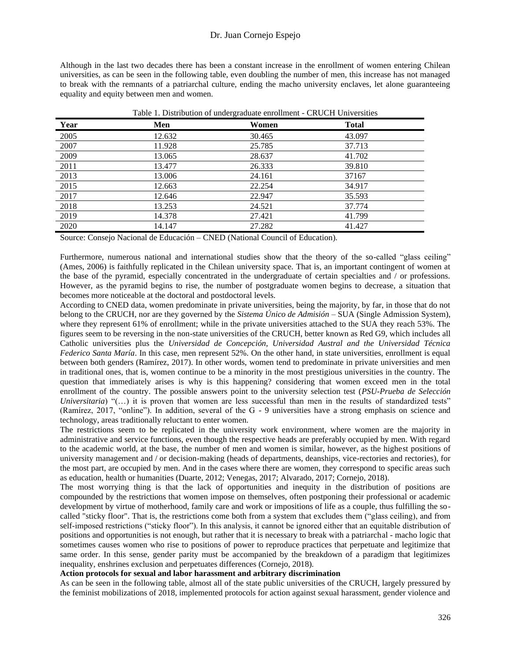Although in the last two decades there has been a constant increase in the enrollment of women entering Chilean universities, as can be seen in the following table, even doubling the number of men, this increase has not managed to break with the remnants of a patriarchal culture, ending the macho university enclaves, let alone guaranteeing equality and equity between men and women.

| Year | Men    | Women  | <b>Total</b> |  |
|------|--------|--------|--------------|--|
| 2005 | 12.632 | 30.465 | 43.097       |  |
| 2007 | 11.928 | 25.785 | 37.713       |  |
| 2009 | 13.065 | 28.637 | 41.702       |  |
| 2011 | 13.477 | 26.333 | 39.810       |  |
| 2013 | 13.006 | 24.161 | 37167        |  |
| 2015 | 12.663 | 22.254 | 34.917       |  |
| 2017 | 12.646 | 22.947 | 35.593       |  |
| 2018 | 13.253 | 24.521 | 37.774       |  |
| 2019 | 14.378 | 27.421 | 41.799       |  |
| 2020 | 14.147 | 27.282 | 41.427       |  |

Table 1. Distribution of undergraduate enrollment - CRUCH Universities

Source: Consejo Nacional de Educación – CNED (National Council of Education).

Furthermore, numerous national and international studies show that the theory of the so-called "glass ceiling" (Ames, 2006) is faithfully replicated in the Chilean university space. That is, an important contingent of women at the base of the pyramid, especially concentrated in the undergraduate of certain specialties and / or professions. However, as the pyramid begins to rise, the number of postgraduate women begins to decrease, a situation that becomes more noticeable at the doctoral and postdoctoral levels.

According to CNED data, women predominate in private universities, being the majority, by far, in those that do not belong to the CRUCH, nor are they governed by the *Sistema Único de Admisión* – SUA (Single Admission System), where they represent 61% of enrollment; while in the private universities attached to the SUA they reach 53%. The figures seem to be reversing in the non-state universities of the CRUCH, better known as Red G9, which includes all Catholic universities plus the *Universidad de Concepción, Universidad Austral and the Universidad Técnica Federico Santa María*. In this case, men represent 52%. On the other hand, in state universities, enrollment is equal between both genders (Ramírez, 2017). In other words, women tend to predominate in private universities and men in traditional ones, that is, women continue to be a minority in the most prestigious universities in the country. The question that immediately arises is why is this happening? considering that women exceed men in the total enrollment of the country. The possible answers point to the university selection test (*PSU-Prueba de Selección Universitaria*) "(...) it is proven that women are less successful than men in the results of standardized tests" (Ramírez, 2017, "online"). In addition, several of the G - 9 universities have a strong emphasis on science and technology, areas traditionally reluctant to enter women.

The restrictions seem to be replicated in the university work environment, where women are the majority in administrative and service functions, even though the respective heads are preferably occupied by men. With regard to the academic world, at the base, the number of men and women is similar, however, as the highest positions of university management and / or decision-making (heads of departments, deanships, vice-rectories and rectories), for the most part, are occupied by men. And in the cases where there are women, they correspond to specific areas such as education, health or humanities (Duarte, 2012; Venegas, 2017; Alvarado, 2017; Cornejo, 2018).

The most worrying thing is that the lack of opportunities and inequity in the distribution of positions are compounded by the restrictions that women impose on themselves, often postponing their professional or academic development by virtue of motherhood, family care and work or impositions of life as a couple, thus fulfilling the socalled "sticky floor". That is, the restrictions come both from a system that excludes them ("glass ceiling), and from self-imposed restrictions ("sticky floor"). In this analysis, it cannot be ignored either that an equitable distribution of positions and opportunities is not enough, but rather that it is necessary to break with a patriarchal - macho logic that sometimes causes women who rise to positions of power to reproduce practices that perpetuate and legitimize that same order. In this sense, gender parity must be accompanied by the breakdown of a paradigm that legitimizes inequality, enshrines exclusion and perpetuates differences (Cornejo, 2018).

## **Action protocols for sexual and labor harassment and arbitrary discrimination**

As can be seen in the following table, almost all of the state public universities of the CRUCH, largely pressured by the feminist mobilizations of 2018, implemented protocols for action against sexual harassment, gender violence and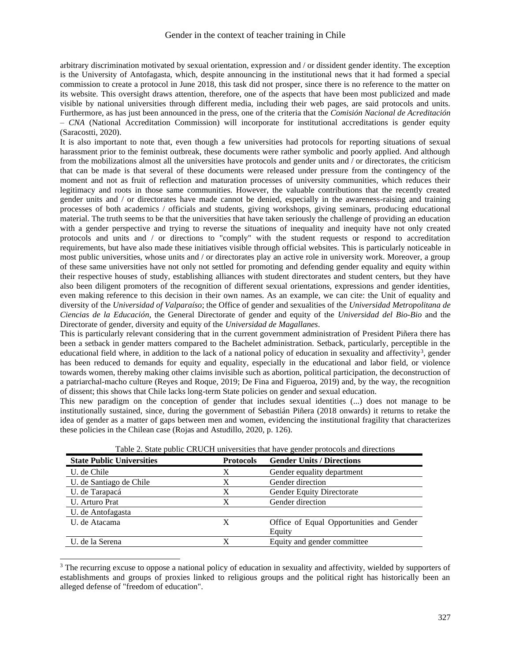arbitrary discrimination motivated by sexual orientation, expression and / or dissident gender identity. The exception is the University of Antofagasta, which, despite announcing in the institutional news that it had formed a special commission to create a protocol in June 2018, this task did not prosper, since there is no reference to the matter on its website. This oversight draws attention, therefore, one of the aspects that have been most publicized and made visible by national universities through different media, including their web pages, are said protocols and units. Furthermore, as has just been announced in the press, one of the criteria that the *Comisión Nacional de Acreditación – CNA* (National Accreditation Commission) will incorporate for institutional accreditations is gender equity (Saracostti, 2020).

It is also important to note that, even though a few universities had protocols for reporting situations of sexual harassment prior to the feminist outbreak, these documents were rather symbolic and poorly applied. And although from the mobilizations almost all the universities have protocols and gender units and / or directorates, the criticism that can be made is that several of these documents were released under pressure from the contingency of the moment and not as fruit of reflection and maturation processes of university communities, which reduces their legitimacy and roots in those same communities. However, the valuable contributions that the recently created gender units and / or directorates have made cannot be denied, especially in the awareness-raising and training processes of both academics / officials and students, giving workshops, giving seminars, producing educational material. The truth seems to be that the universities that have taken seriously the challenge of providing an education with a gender perspective and trying to reverse the situations of inequality and inequity have not only created protocols and units and / or directions to "comply" with the student requests or respond to accreditation requirements, but have also made these initiatives visible through official websites. This is particularly noticeable in most public universities, whose units and / or directorates play an active role in university work. Moreover, a group of these same universities have not only not settled for promoting and defending gender equality and equity within their respective houses of study, establishing alliances with student directorates and student centers, but they have also been diligent promoters of the recognition of different sexual orientations, expressions and gender identities, even making reference to this decision in their own names. As an example, we can cite: the Unit of equality and diversity of the *Universidad of Valparaíso*; the Office of gender and sexualities of the *Universidad Metropolitana de Ciencias de la Educación*, the General Directorate of gender and equity of the *Universidad del Bio-Bio* and the Directorate of gender, diversity and equity of the *Universidad de Magallanes*.

This is particularly relevant considering that in the current government administration of President Piñera there has been a setback in gender matters compared to the Bachelet administration. Setback, particularly, perceptible in the educational field where, in addition to the lack of a national policy of education in sexuality and affectivity<sup>3</sup>, gender has been reduced to demands for equity and equality, especially in the educational and labor field, or violence towards women, thereby making other claims invisible such as abortion, political participation, the deconstruction of a patriarchal-macho culture (Reyes and Roque, 2019; De Fina and Figueroa, 2019) and, by the way, the recognition of dissent; this shows that Chile lacks long-term State policies on gender and sexual education.

This new paradigm on the conception of gender that includes sexual identities (...) does not manage to be institutionally sustained, since, during the government of Sebastián Piñera (2018 onwards) it returns to retake the idea of gender as a matter of gaps between men and women, evidencing the institutional fragility that characterizes these policies in the Chilean case (Rojas and Astudillo, 2020, p. 126).

|                                  |                  | Table 2. State public CRUCH universities that have gender protocols and directions |
|----------------------------------|------------------|------------------------------------------------------------------------------------|
| <b>State Public Universities</b> | <b>Protocols</b> | <b>Gender Units / Directions</b>                                                   |
| U. de Chile                      | X                | Gender equality department                                                         |
| U. de Santiago de Chile          | X                | Gender direction                                                                   |
| U. de Tarapacá                   | Х                | <b>Gender Equity Directorate</b>                                                   |
| U. Arturo Prat                   | X                | Gender direction                                                                   |
| U. de Antofagasta                |                  |                                                                                    |
| U. de Atacama                    | X                | Office of Equal Opportunities and Gender                                           |
|                                  |                  | Equity                                                                             |
| U. de la Serena                  | X                | Equity and gender committee                                                        |
|                                  |                  |                                                                                    |

Table 2. State public CRUCH universities that have gender protocols and directions

<sup>3</sup> The recurring excuse to oppose a national policy of education in sexuality and affectivity, wielded by supporters of establishments and groups of proxies linked to religious groups and the political right has historically been an alleged defense of "freedom of education".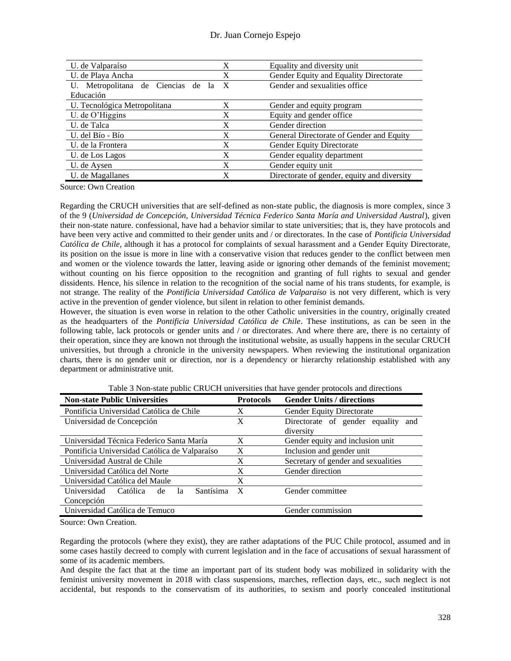| U. de Valparaíso                      | X            | Equality and diversity unit                 |
|---------------------------------------|--------------|---------------------------------------------|
| U. de Playa Ancha                     | X            | Gender Equity and Equality Directorate      |
| Metropolitana de Ciencias de la<br>U. | $\mathbf{X}$ | Gender and sexualities office               |
| Educación                             |              |                                             |
| U. Tecnológica Metropolitana          | X            | Gender and equity program                   |
| U. de O'Higgins                       | X            | Equity and gender office.                   |
| U. de Talca                           | X            | Gender direction                            |
| U. del Bío - Bío                      | X            | General Directorate of Gender and Equity    |
| U. de la Frontera                     | X            | Gender Equity Directorate                   |
| U. de Los Lagos                       | X            | Gender equality department                  |
| U. de Aysen                           | X            | Gender equity unit                          |
| U. de Magallanes                      |              | Directorate of gender, equity and diversity |

Source: Own Creation

Regarding the CRUCH universities that are self-defined as non-state public, the diagnosis is more complex, since 3 of the 9 (*Universidad de Concepción, Universidad Técnica Federico Santa María and Universidad Austral*), given their non-state nature. confessional, have had a behavior similar to state universities; that is, they have protocols and have been very active and committed to their gender units and / or directorates. In the case of *Pontificia Universidad Católica de Chile*, although it has a protocol for complaints of sexual harassment and a Gender Equity Directorate, its position on the issue is more in line with a conservative vision that reduces gender to the conflict between men and women or the violence towards the latter, leaving aside or ignoring other demands of the feminist movement; without counting on his fierce opposition to the recognition and granting of full rights to sexual and gender dissidents. Hence, his silence in relation to the recognition of the social name of his trans students, for example, is not strange. The reality of the *Pontificia Universidad Católica de Valparaíso* is not very different, which is very active in the prevention of gender violence, but silent in relation to other feminist demands.

However, the situation is even worse in relation to the other Catholic universities in the country, originally created as the headquarters of the *Pontificia Universidad Católica de Chile*. These institutions, as can be seen in the following table, lack protocols or gender units and / or directorates. And where there are, there is no certainty of their operation, since they are known not through the institutional website, as usually happens in the secular CRUCH universities, but through a chronicle in the university newspapers. When reviewing the institutional organization charts, there is no gender unit or direction, nor is a dependency or hierarchy relationship established with any department or administrative unit.

| <b>Non-state Public Universities</b>             | <b>Protocols</b> | <b>Gender Units / directions</b>                   |  |
|--------------------------------------------------|------------------|----------------------------------------------------|--|
| Pontificia Universidad Católica de Chile         | X                | <b>Gender Equity Directorate</b>                   |  |
| Universidad de Concepción                        | X                | Directorate of gender equality<br>and<br>diversity |  |
| Universidad Técnica Federico Santa María         | X                | Gender equity and inclusion unit                   |  |
| Pontificia Universidad Católica de Valparaíso    | X                | Inclusion and gender unit                          |  |
| Universidad Austral de Chile                     | X                | Secretary of gender and sexualities                |  |
| Universidad Católica del Norte                   | X                | Gender direction                                   |  |
| Universidad Católica del Maule                   | X                |                                                    |  |
| Santísima<br>Universidad<br>Católica<br>de<br>1a | $\mathbf{X}$     | Gender committee                                   |  |
| Concepción                                       |                  |                                                    |  |
| Universidad Católica de Temuco                   |                  | Gender commission                                  |  |

Table 3 Non-state public CRUCH universities that have gender protocols and directions

Source: Own Creation.

Regarding the protocols (where they exist), they are rather adaptations of the PUC Chile protocol, assumed and in some cases hastily decreed to comply with current legislation and in the face of accusations of sexual harassment of some of its academic members.

And despite the fact that at the time an important part of its student body was mobilized in solidarity with the feminist university movement in 2018 with class suspensions, marches, reflection days, etc., such neglect is not accidental, but responds to the conservatism of its authorities, to sexism and poorly concealed institutional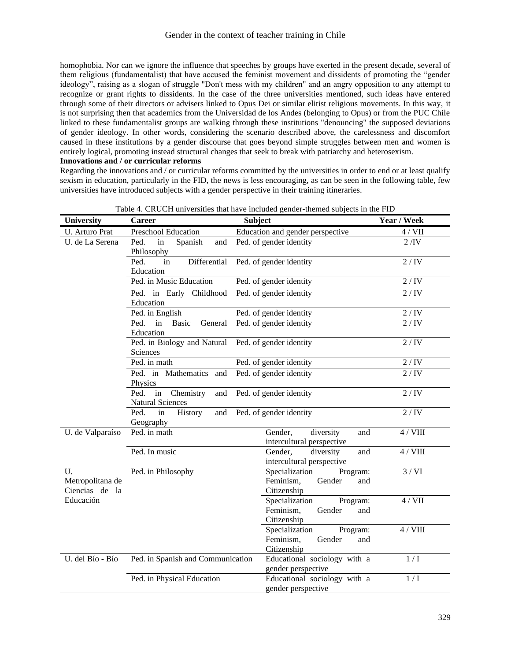homophobia. Nor can we ignore the influence that speeches by groups have exerted in the present decade, several of them religious (fundamentalist) that have accused the feminist movement and dissidents of promoting the "gender ideology", raising as a slogan of struggle "Don't mess with my children" and an angry opposition to any attempt to recognize or grant rights to dissidents. In the case of the three universities mentioned, such ideas have entered through some of their directors or advisers linked to Opus Dei or similar elitist religious movements. In this way, it is not surprising then that academics from the Universidad de los Andes (belonging to Opus) or from the PUC Chile linked to these fundamentalist groups are walking through these institutions "denouncing" the supposed deviations of gender ideology. In other words, considering the scenario described above, the carelessness and discomfort caused in these institutions by a gender discourse that goes beyond simple struggles between men and women is entirely logical, promoting instead structural changes that seek to break with patriarchy and heterosexism.

#### **Innovations and / or curricular reforms**

Regarding the innovations and / or curricular reforms committed by the universities in order to end or at least qualify sexism in education, particularly in the FID, the news is less encouraging, as can be seen in the following table, few universities have introduced subjects with a gender perspective in their training itineraries.

| <b>University</b>                        | <b>Career</b>                                             | Year / Week                                                             |                 |
|------------------------------------------|-----------------------------------------------------------|-------------------------------------------------------------------------|-----------------|
| U. Arturo Prat                           | Preschool Education                                       | Education and gender perspective                                        | 4 / VII         |
| U. de La Serena                          | Ped.<br>in<br>Spanish<br>and                              | Ped. of gender identity                                                 | $2/\mathrm{IV}$ |
|                                          | Philosophy<br>Differential<br>Ped.<br>in                  | Ped. of gender identity                                                 | 2/IV            |
|                                          | Education<br>Ped. in Music Education                      | Ped. of gender identity                                                 | 2/IV            |
|                                          | Ped. in Early Childhood<br>Education                      | Ped. of gender identity                                                 | 2/IV            |
|                                          | Ped. in English                                           | Ped. of gender identity                                                 | 2/IV            |
|                                          | Ped.<br>in<br>Basic<br>General<br>Education               | Ped. of gender identity                                                 | 2/IV            |
|                                          | Ped. in Biology and Natural<br>Sciences                   | Ped. of gender identity                                                 | 2/IV            |
|                                          | Ped. in math                                              | Ped. of gender identity                                                 | 2/IV            |
|                                          | Ped. in Mathematics and<br>Physics                        | Ped. of gender identity                                                 | 2/IV            |
|                                          | Ped.<br>Chemistry<br>in<br>and<br><b>Natural Sciences</b> | Ped. of gender identity                                                 | 2/IV            |
|                                          | Ped.<br>History<br>in<br>and<br>Geography                 | Ped. of gender identity                                                 | 2/IV            |
| U. de Valparaíso                         | Ped. in math                                              | diversity<br>Gender,<br>and<br>intercultural perspective                | 4 / VIII        |
|                                          | Ped. In music                                             | diversity<br>Gender,<br>and<br>intercultural perspective                | 4 / VIII        |
| U.<br>Metropolitana de<br>Ciencias de la | Ped. in Philosophy                                        | Specialization<br>Program:<br>Feminism,<br>Gender<br>and<br>Citizenship | 3/VI            |
| Educación                                |                                                           | Specialization<br>Program:<br>Feminism,<br>Gender<br>and<br>Citizenship | $4/$ VII        |
|                                          |                                                           | Specialization<br>Program:<br>Feminism,<br>Gender<br>and<br>Citizenship | 4 / VIII        |
| U. del Bío - Bío                         | Ped. in Spanish and Communication                         | Educational sociology with a<br>gender perspective                      | 1/I             |
|                                          | Ped. in Physical Education                                | Educational sociology with a<br>gender perspective                      | 1/I             |

|  |  | Table 4. CRUCH universities that have included gender-themed subjects in the FID |  |  |
|--|--|----------------------------------------------------------------------------------|--|--|
|  |  |                                                                                  |  |  |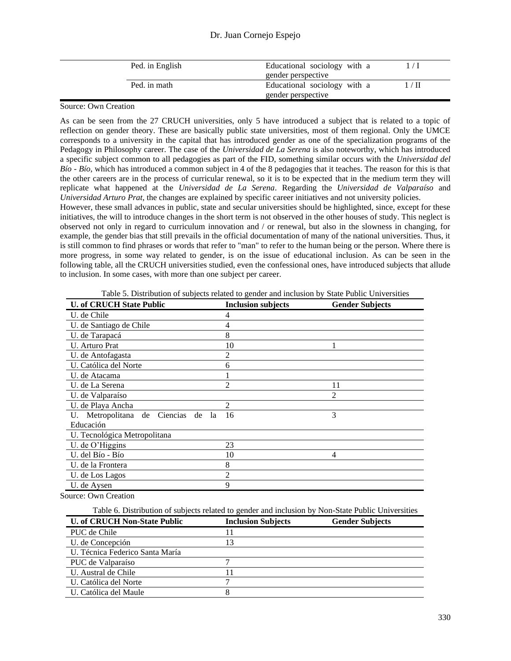## Dr. Juan Cornejo Espejo

| Educational sociology with a<br>Ped. in English             |  |
|-------------------------------------------------------------|--|
| gender perspective                                          |  |
| Educational sociology with a<br>Ped. in math<br>$\sqrt{11}$ |  |
| gender perspective                                          |  |

## Source: Own Creation

As can be seen from the 27 CRUCH universities, only 5 have introduced a subject that is related to a topic of reflection on gender theory. These are basically public state universities, most of them regional. Only the UMCE corresponds to a university in the capital that has introduced gender as one of the specialization programs of the Pedagogy in Philosophy career. The case of the *Universidad de La Serena* is also noteworthy, which has introduced a specific subject common to all pedagogies as part of the FID, something similar occurs with the *Universidad del Bío - Bío*, which has introduced a common subject in 4 of the 8 pedagogies that it teaches. The reason for this is that the other careers are in the process of curricular renewal, so it is to be expected that in the medium term they will replicate what happened at the *Universidad de La Serena*. Regarding the *Universidad de Valparaíso* and *Universidad Arturo Prat*, the changes are explained by specific career initiatives and not university policies.

However, these small advances in public, state and secular universities should be highlighted, since, except for these initiatives, the will to introduce changes in the short term is not observed in the other houses of study. This neglect is observed not only in regard to curriculum innovation and / or renewal, but also in the slowness in changing, for example, the gender bias that still prevails in the official documentation of many of the national universities. Thus, it is still common to find phrases or words that refer to "man" to refer to the human being or the person. Where there is more progress, in some way related to gender, is on the issue of educational inclusion. As can be seen in the following table, all the CRUCH universities studied, even the confessional ones, have introduced subjects that allude to inclusion. In some cases, with more than one subject per career.

| <b>U. of CRUCH State Public</b>                | <b>Inclusion subjects</b> | <b>Gender Subjects</b> |
|------------------------------------------------|---------------------------|------------------------|
| U. de Chile                                    | 4                         |                        |
| U. de Santiago de Chile                        | 4                         |                        |
| U. de Tarapacá                                 | 8                         |                        |
| U. Arturo Prat                                 | 10                        |                        |
| U. de Antofagasta                              | 2                         |                        |
| U. Católica del Norte                          | 6                         |                        |
| U. de Atacama                                  |                           |                        |
| U. de La Serena                                | 2                         | 11                     |
| U. de Valparaíso                               |                           | 2                      |
| U. de Playa Ancha                              | $\mathfrak{D}$            |                        |
| Metropolitana<br>de Ciencias<br>de<br>la<br>U. | 16                        | 3                      |
| Educación                                      |                           |                        |
| U. Tecnológica Metropolitana                   |                           |                        |
| U. de O'Higgins                                | 23                        |                        |
| U. del Bío - Bío                               | 10                        | 4                      |
| U. de la Frontera                              | 8                         |                        |
| U. de Los Lagos                                | $\overline{c}$            |                        |
| U. de Aysen                                    | 9                         |                        |

Table 5. Distribution of subjects related to gender and inclusion by State Public Universities

Source: Own Creation

Table 6. Distribution of subjects related to gender and inclusion by Non-State Public Universities

| <b>U. of CRUCH Non-State Public</b> | <b>Inclusion Subjects</b> | <b>Gender Subjects</b> |
|-------------------------------------|---------------------------|------------------------|
| PUC de Chile                        |                           |                        |
| U. de Concepción                    | 13                        |                        |
| U. Técnica Federico Santa María     |                           |                        |
| PUC de Valparaíso                   |                           |                        |
| U. Austral de Chile                 |                           |                        |
| U. Católica del Norte               |                           |                        |
| U. Católica del Maule               |                           |                        |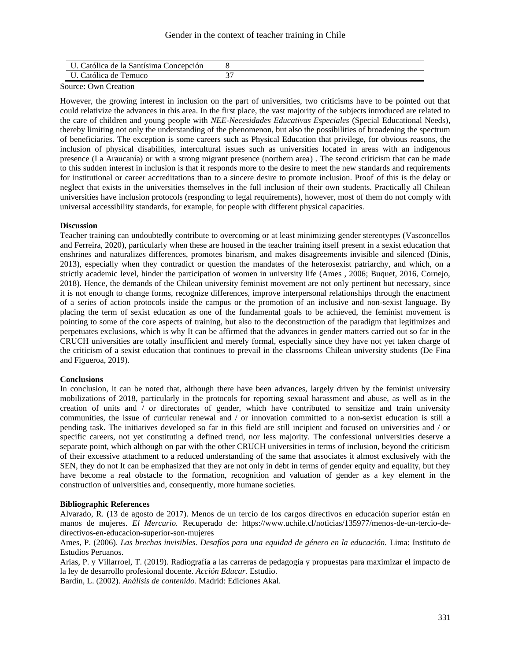## Gender in the context of teacher training in Chile

| U. Católica de la Santísima Concepción |  |
|----------------------------------------|--|
| U. Católica de Temuco                  |  |

Source: Own Creation

However, the growing interest in inclusion on the part of universities, two criticisms have to be pointed out that could relativize the advances in this area. In the first place, the vast majority of the subjects introduced are related to the care of children and young people with *NEE-Necesidades Educativas Especiales* (Special Educational Needs), thereby limiting not only the understanding of the phenomenon, but also the possibilities of broadening the spectrum of beneficiaries. The exception is some careers such as Physical Education that privilege, for obvious reasons, the inclusion of physical disabilities, intercultural issues such as universities located in areas with an indigenous presence (La Araucanía) or with a strong migrant presence (northern area) . The second criticism that can be made to this sudden interest in inclusion is that it responds more to the desire to meet the new standards and requirements for institutional or career accreditations than to a sincere desire to promote inclusion. Proof of this is the delay or neglect that exists in the universities themselves in the full inclusion of their own students. Practically all Chilean universities have inclusion protocols (responding to legal requirements), however, most of them do not comply with universal accessibility standards, for example, for people with different physical capacities.

#### **Discussion**

Teacher training can undoubtedly contribute to overcoming or at least minimizing gender stereotypes (Vasconcellos and Ferreira, 2020), particularly when these are housed in the teacher training itself present in a sexist education that enshrines and naturalizes differences, promotes binarism, and makes disagreements invisible and silenced (Dinis, 2013), especially when they contradict or question the mandates of the heterosexist patriarchy, and which, on a strictly academic level, hinder the participation of women in university life (Ames , 2006; Buquet, 2016, Cornejo, 2018). Hence, the demands of the Chilean university feminist movement are not only pertinent but necessary, since it is not enough to change forms, recognize differences, improve interpersonal relationships through the enactment of a series of action protocols inside the campus or the promotion of an inclusive and non-sexist language. By placing the term of sexist education as one of the fundamental goals to be achieved, the feminist movement is pointing to some of the core aspects of training, but also to the deconstruction of the paradigm that legitimizes and perpetuates exclusions, which is why It can be affirmed that the advances in gender matters carried out so far in the CRUCH universities are totally insufficient and merely formal, especially since they have not yet taken charge of the criticism of a sexist education that continues to prevail in the classrooms Chilean university students (De Fina and Figueroa, 2019).

#### **Conclusions**

In conclusion, it can be noted that, although there have been advances, largely driven by the feminist university mobilizations of 2018, particularly in the protocols for reporting sexual harassment and abuse, as well as in the creation of units and / or directorates of gender, which have contributed to sensitize and train university communities, the issue of curricular renewal and / or innovation committed to a non-sexist education is still a pending task. The initiatives developed so far in this field are still incipient and focused on universities and / or specific careers, not yet constituting a defined trend, nor less majority. The confessional universities deserve a separate point, which although on par with the other CRUCH universities in terms of inclusion, beyond the criticism of their excessive attachment to a reduced understanding of the same that associates it almost exclusively with the SEN, they do not It can be emphasized that they are not only in debt in terms of gender equity and equality, but they have become a real obstacle to the formation, recognition and valuation of gender as a key element in the construction of universities and, consequently, more humane societies.

#### **Bibliographic References**

Alvarado, R. (13 de agosto de 2017). Menos de un tercio de los cargos directivos en educación superior están en manos de mujeres. *El Mercurio.* Recuperado de: https://www.uchile.cl/noticias/135977/menos-de-un-tercio-dedirectivos-en-educacion-superior-son-mujeres

Ames, P. (2006). *Las brechas invisibles. Desafíos para una equidad de género en la educación.* Lima: Instituto de Estudios Peruanos.

Arias, P. y Villarroel, T. (2019). Radiografía a las carreras de pedagogía y propuestas para maximizar el impacto de la ley de desarrollo profesional docente. *Acción Educar.* Estudio.

Bardín, L. (2002). *Análisis de contenido.* Madrid: Ediciones Akal.